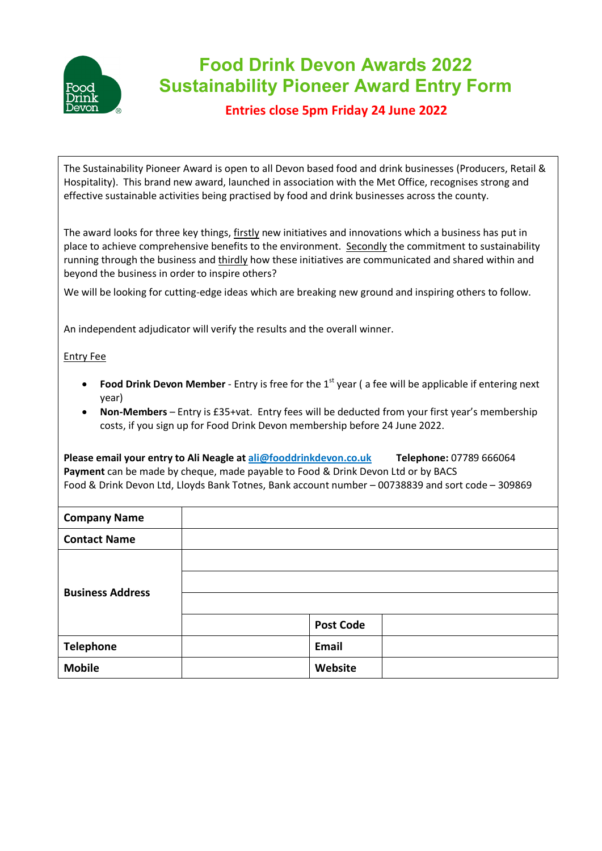

## **Food Drink Devon Awards 2022 Sustainability Pioneer Award Entry Form**

**Entries close 5pm Friday 24 June 2022**

The Sustainability Pioneer Award is open to all Devon based food and drink businesses (Producers, Retail & Hospitality). This brand new award, launched in association with the Met Office, recognises strong and effective sustainable activities being practised by food and drink businesses across the county.

The award looks for three key things, firstly new initiatives and innovations which a business has put in place to achieve comprehensive benefits to the environment. Secondly the commitment to sustainability running through the business and thirdly how these initiatives are communicated and shared within and beyond the business in order to inspire others?

We will be looking for cutting-edge ideas which are breaking new ground and inspiring others to follow.

An independent adjudicator will verify the results and the overall winner.

## Entry Fee

- **Food Drink Devon Member** Entry is free for the 1<sup>st</sup> year ( a fee will be applicable if entering next year)
- **Non-Members** Entry is £35+vat. Entry fees will be deducted from your first year's membership costs, if you sign up for Food Drink Devon membership before 24 June 2022.

**Please email your entry to Ali Neagle a[t ali@fooddrinkdevon.co.uk](mailto:admin@fooddrinkdevon.co.uk) Telephone:** 07789 666064 **Payment** can be made by cheque, made payable to Food & Drink Devon Ltd or by BACS Food & Drink Devon Ltd, Lloyds Bank Totnes, Bank account number – 00738839 and sort code – 309869

| <b>Company Name</b>     |                  |
|-------------------------|------------------|
| <b>Contact Name</b>     |                  |
|                         |                  |
|                         |                  |
| <b>Business Address</b> |                  |
|                         | <b>Post Code</b> |
| <b>Telephone</b>        | Email            |
| <b>Mobile</b>           | Website          |